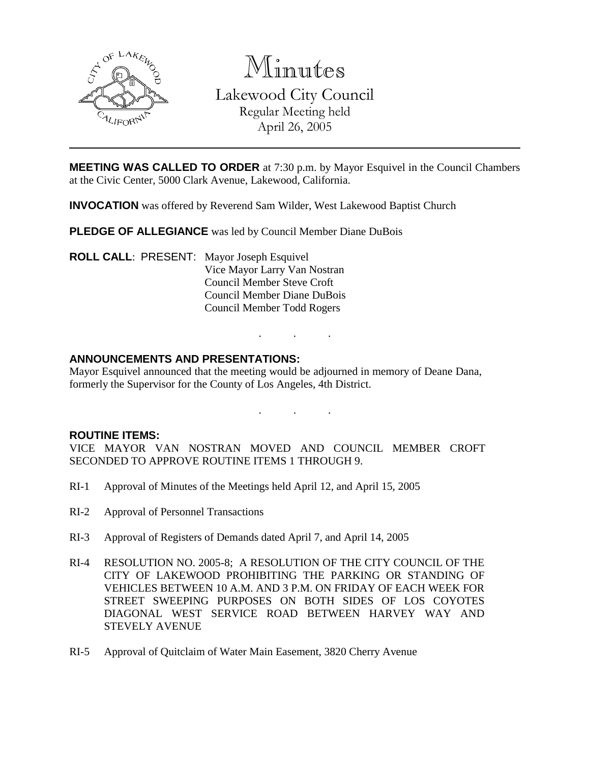

Minutes Lakewood City Council Regular Meeting held April 26, 2005

**MEETING WAS CALLED TO ORDER** at 7:30 p.m. by Mayor Esquivel in the Council Chambers at the Civic Center, 5000 Clark Avenue, Lakewood, California.

**INVOCATION** was offered by Reverend Sam Wilder, West Lakewood Baptist Church

**PLEDGE OF ALLEGIANCE** was led by Council Member Diane DuBois

**ROLL CALL**: PRESENT: Mayor Joseph Esquivel Vice Mayor Larry Van Nostran Council Member Steve Croft Council Member Diane DuBois Council Member Todd Rogers

## **ANNOUNCEMENTS AND PRESENTATIONS:**

Mayor Esquivel announced that the meeting would be adjourned in memory of Deane Dana, formerly the Supervisor for the County of Los Angeles, 4th District.

. . .

. . .

#### **ROUTINE ITEMS:**

VICE MAYOR VAN NOSTRAN MOVED AND COUNCIL MEMBER CROFT SECONDED TO APPROVE ROUTINE ITEMS 1 THROUGH 9.

- RI-1 Approval of Minutes of the Meetings held April 12, and April 15, 2005
- RI-2 Approval of Personnel Transactions
- RI-3 Approval of Registers of Demands dated April 7, and April 14, 2005
- RI-4 RESOLUTION NO. 2005-8; A RESOLUTION OF THE CITY COUNCIL OF THE CITY OF LAKEWOOD PROHIBITING THE PARKING OR STANDING OF VEHICLES BETWEEN 10 A.M. AND 3 P.M. ON FRIDAY OF EACH WEEK FOR STREET SWEEPING PURPOSES ON BOTH SIDES OF LOS COYOTES DIAGONAL WEST SERVICE ROAD BETWEEN HARVEY WAY AND STEVELY AVENUE
- RI-5 Approval of Quitclaim of Water Main Easement, 3820 Cherry Avenue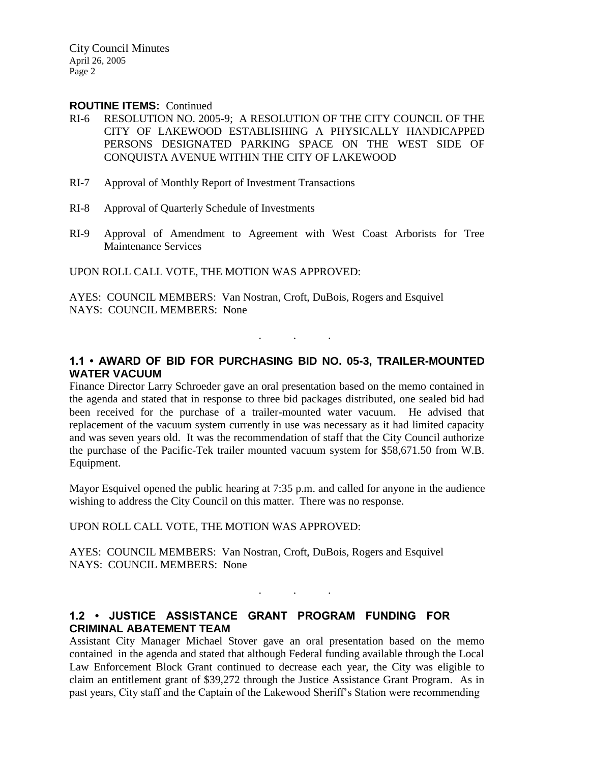#### **ROUTINE ITEMS:** Continued

- RI-6 RESOLUTION NO. 2005-9; A RESOLUTION OF THE CITY COUNCIL OF THE CITY OF LAKEWOOD ESTABLISHING A PHYSICALLY HANDICAPPED PERSONS DESIGNATED PARKING SPACE ON THE WEST SIDE OF CONQUISTA AVENUE WITHIN THE CITY OF LAKEWOOD
- RI-7 Approval of Monthly Report of Investment Transactions
- RI-8 Approval of Quarterly Schedule of Investments
- RI-9 Approval of Amendment to Agreement with West Coast Arborists for Tree Maintenance Services

UPON ROLL CALL VOTE, THE MOTION WAS APPROVED:

AYES: COUNCIL MEMBERS: Van Nostran, Croft, DuBois, Rogers and Esquivel NAYS: COUNCIL MEMBERS: None

## **1.1 • AWARD OF BID FOR PURCHASING BID NO. 05-3, TRAILER-MOUNTED WATER VACUUM**

. . .

Finance Director Larry Schroeder gave an oral presentation based on the memo contained in the agenda and stated that in response to three bid packages distributed, one sealed bid had been received for the purchase of a trailer-mounted water vacuum. He advised that replacement of the vacuum system currently in use was necessary as it had limited capacity and was seven years old. It was the recommendation of staff that the City Council authorize the purchase of the Pacific-Tek trailer mounted vacuum system for \$58,671.50 from W.B. Equipment.

Mayor Esquivel opened the public hearing at 7:35 p.m. and called for anyone in the audience wishing to address the City Council on this matter. There was no response.

#### UPON ROLL CALL VOTE, THE MOTION WAS APPROVED:

AYES: COUNCIL MEMBERS: Van Nostran, Croft, DuBois, Rogers and Esquivel NAYS: COUNCIL MEMBERS: None

## **1.2 • JUSTICE ASSISTANCE GRANT PROGRAM FUNDING FOR CRIMINAL ABATEMENT TEAM**

Assistant City Manager Michael Stover gave an oral presentation based on the memo contained in the agenda and stated that although Federal funding available through the Local Law Enforcement Block Grant continued to decrease each year, the City was eligible to claim an entitlement grant of \$39,272 through the Justice Assistance Grant Program. As in past years, City staff and the Captain of the Lakewood Sheriff's Station were recommending

. . .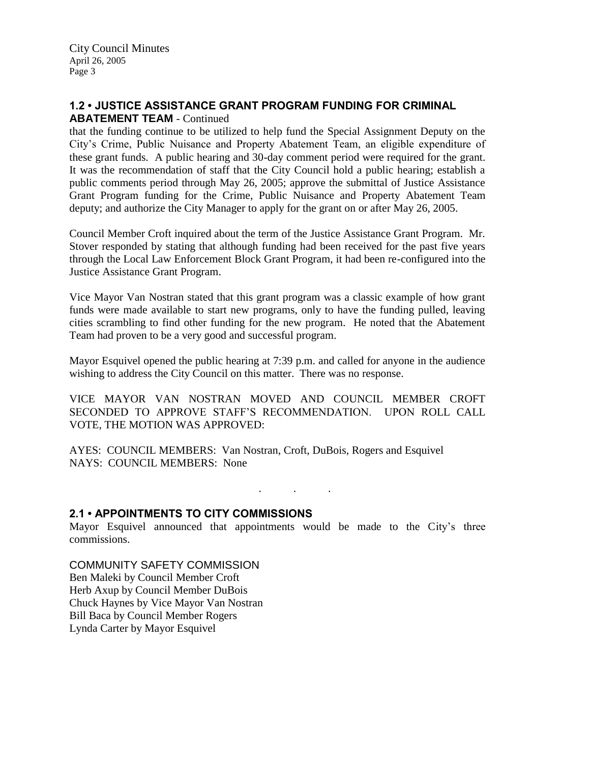# **1.2 • JUSTICE ASSISTANCE GRANT PROGRAM FUNDING FOR CRIMINAL**

#### **ABATEMENT TEAM** - Continued

that the funding continue to be utilized to help fund the Special Assignment Deputy on the City's Crime, Public Nuisance and Property Abatement Team, an eligible expenditure of these grant funds. A public hearing and 30-day comment period were required for the grant. It was the recommendation of staff that the City Council hold a public hearing; establish a public comments period through May 26, 2005; approve the submittal of Justice Assistance Grant Program funding for the Crime, Public Nuisance and Property Abatement Team deputy; and authorize the City Manager to apply for the grant on or after May 26, 2005.

Council Member Croft inquired about the term of the Justice Assistance Grant Program. Mr. Stover responded by stating that although funding had been received for the past five years through the Local Law Enforcement Block Grant Program, it had been re-configured into the Justice Assistance Grant Program.

Vice Mayor Van Nostran stated that this grant program was a classic example of how grant funds were made available to start new programs, only to have the funding pulled, leaving cities scrambling to find other funding for the new program. He noted that the Abatement Team had proven to be a very good and successful program.

Mayor Esquivel opened the public hearing at 7:39 p.m. and called for anyone in the audience wishing to address the City Council on this matter. There was no response.

VICE MAYOR VAN NOSTRAN MOVED AND COUNCIL MEMBER CROFT SECONDED TO APPROVE STAFF'S RECOMMENDATION. UPON ROLL CALL VOTE, THE MOTION WAS APPROVED:

AYES: COUNCIL MEMBERS: Van Nostran, Croft, DuBois, Rogers and Esquivel NAYS: COUNCIL MEMBERS: None

. . .

## **2.1 • APPOINTMENTS TO CITY COMMISSIONS**

Mayor Esquivel announced that appointments would be made to the City's three commissions.

COMMUNITY SAFETY COMMISSION Ben Maleki by Council Member Croft Herb Axup by Council Member DuBois Chuck Haynes by Vice Mayor Van Nostran Bill Baca by Council Member Rogers Lynda Carter by Mayor Esquivel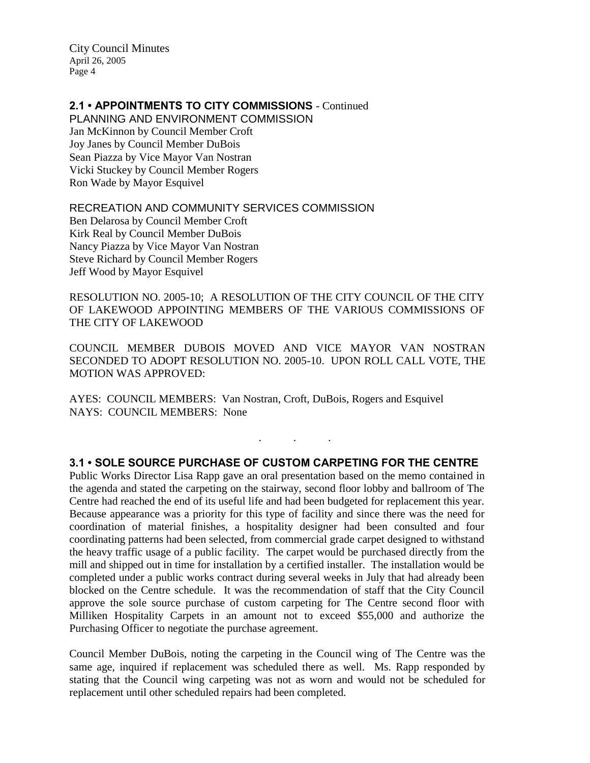# **2.1 • APPOINTMENTS TO CITY COMMISSIONS** - Continued

PLANNING AND ENVIRONMENT COMMISSION Jan McKinnon by Council Member Croft Joy Janes by Council Member DuBois Sean Piazza by Vice Mayor Van Nostran Vicki Stuckey by Council Member Rogers Ron Wade by Mayor Esquivel

RECREATION AND COMMUNITY SERVICES COMMISSION

Ben Delarosa by Council Member Croft Kirk Real by Council Member DuBois Nancy Piazza by Vice Mayor Van Nostran Steve Richard by Council Member Rogers Jeff Wood by Mayor Esquivel

RESOLUTION NO. 2005-10; A RESOLUTION OF THE CITY COUNCIL OF THE CITY OF LAKEWOOD APPOINTING MEMBERS OF THE VARIOUS COMMISSIONS OF THE CITY OF LAKEWOOD

COUNCIL MEMBER DUBOIS MOVED AND VICE MAYOR VAN NOSTRAN SECONDED TO ADOPT RESOLUTION NO. 2005-10. UPON ROLL CALL VOTE, THE MOTION WAS APPROVED:

AYES: COUNCIL MEMBERS: Van Nostran, Croft, DuBois, Rogers and Esquivel NAYS: COUNCIL MEMBERS: None

## **3.1 • SOLE SOURCE PURCHASE OF CUSTOM CARPETING FOR THE CENTRE**

. . .

Public Works Director Lisa Rapp gave an oral presentation based on the memo contained in the agenda and stated the carpeting on the stairway, second floor lobby and ballroom of The Centre had reached the end of its useful life and had been budgeted for replacement this year. Because appearance was a priority for this type of facility and since there was the need for coordination of material finishes, a hospitality designer had been consulted and four coordinating patterns had been selected, from commercial grade carpet designed to withstand the heavy traffic usage of a public facility. The carpet would be purchased directly from the mill and shipped out in time for installation by a certified installer. The installation would be completed under a public works contract during several weeks in July that had already been blocked on the Centre schedule. It was the recommendation of staff that the City Council approve the sole source purchase of custom carpeting for The Centre second floor with Milliken Hospitality Carpets in an amount not to exceed \$55,000 and authorize the Purchasing Officer to negotiate the purchase agreement.

Council Member DuBois, noting the carpeting in the Council wing of The Centre was the same age, inquired if replacement was scheduled there as well. Ms. Rapp responded by stating that the Council wing carpeting was not as worn and would not be scheduled for replacement until other scheduled repairs had been completed.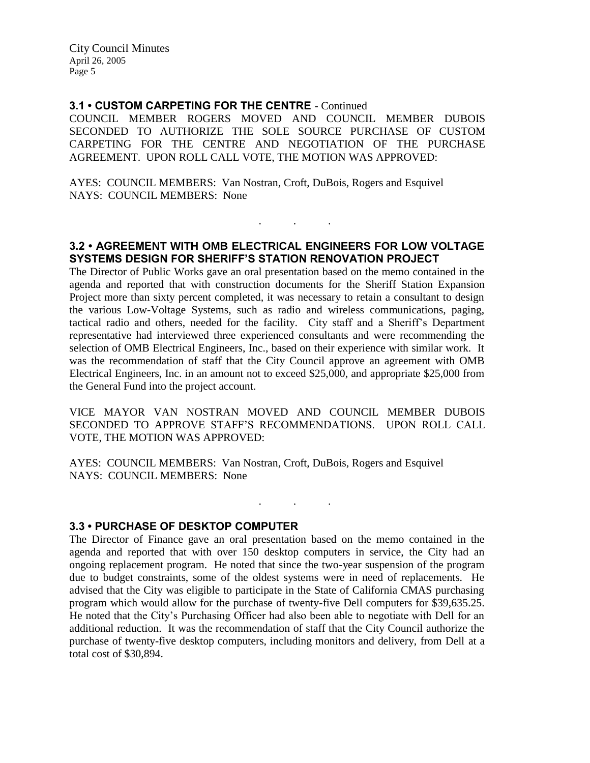#### **3.1 • CUSTOM CARPETING FOR THE CENTRE** - Continued

COUNCIL MEMBER ROGERS MOVED AND COUNCIL MEMBER DUBOIS SECONDED TO AUTHORIZE THE SOLE SOURCE PURCHASE OF CUSTOM CARPETING FOR THE CENTRE AND NEGOTIATION OF THE PURCHASE AGREEMENT. UPON ROLL CALL VOTE, THE MOTION WAS APPROVED:

AYES: COUNCIL MEMBERS: Van Nostran, Croft, DuBois, Rogers and Esquivel NAYS: COUNCIL MEMBERS: None

## **3.2 • AGREEMENT WITH OMB ELECTRICAL ENGINEERS FOR LOW VOLTAGE SYSTEMS DESIGN FOR SHERIFF'S STATION RENOVATION PROJECT**

. . .

The Director of Public Works gave an oral presentation based on the memo contained in the agenda and reported that with construction documents for the Sheriff Station Expansion Project more than sixty percent completed, it was necessary to retain a consultant to design the various Low-Voltage Systems, such as radio and wireless communications, paging, tactical radio and others, needed for the facility. City staff and a Sheriff's Department representative had interviewed three experienced consultants and were recommending the selection of OMB Electrical Engineers, Inc., based on their experience with similar work. It was the recommendation of staff that the City Council approve an agreement with OMB Electrical Engineers, Inc. in an amount not to exceed \$25,000, and appropriate \$25,000 from the General Fund into the project account.

VICE MAYOR VAN NOSTRAN MOVED AND COUNCIL MEMBER DUBOIS SECONDED TO APPROVE STAFF'S RECOMMENDATIONS. UPON ROLL CALL VOTE, THE MOTION WAS APPROVED:

 $\mathbf{r}$  .  $\mathbf{r}$  ,  $\mathbf{r}$  ,  $\mathbf{r}$  ,  $\mathbf{r}$  ,  $\mathbf{r}$  ,  $\mathbf{r}$ 

AYES: COUNCIL MEMBERS: Van Nostran, Croft, DuBois, Rogers and Esquivel NAYS: COUNCIL MEMBERS: None

#### **3.3 • PURCHASE OF DESKTOP COMPUTER**

The Director of Finance gave an oral presentation based on the memo contained in the agenda and reported that with over 150 desktop computers in service, the City had an ongoing replacement program. He noted that since the two-year suspension of the program due to budget constraints, some of the oldest systems were in need of replacements. He advised that the City was eligible to participate in the State of California CMAS purchasing program which would allow for the purchase of twenty-five Dell computers for \$39,635.25. He noted that the City's Purchasing Officer had also been able to negotiate with Dell for an additional reduction. It was the recommendation of staff that the City Council authorize the purchase of twenty-five desktop computers, including monitors and delivery, from Dell at a total cost of \$30,894.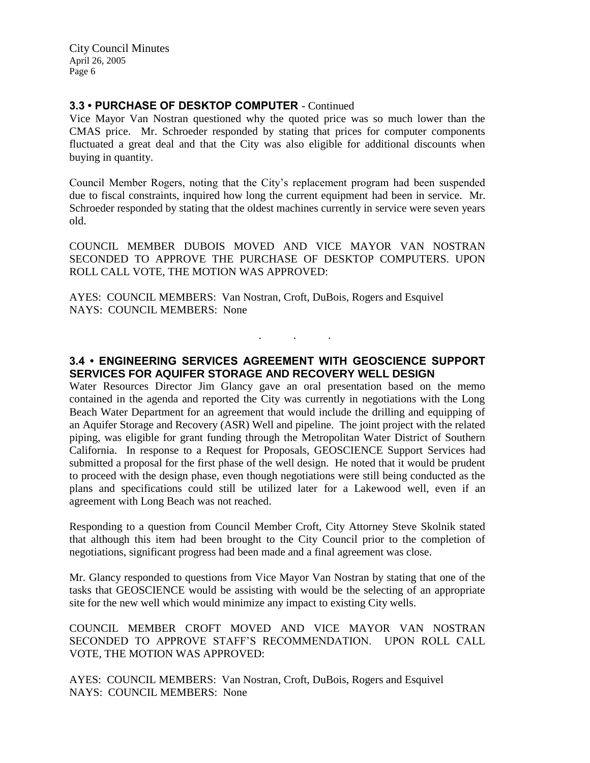#### **3.3 • PURCHASE OF DESKTOP COMPUTER** - Continued

Vice Mayor Van Nostran questioned why the quoted price was so much lower than the CMAS price. Mr. Schroeder responded by stating that prices for computer components fluctuated a great deal and that the City was also eligible for additional discounts when buying in quantity.

Council Member Rogers, noting that the City's replacement program had been suspended due to fiscal constraints, inquired how long the current equipment had been in service. Mr. Schroeder responded by stating that the oldest machines currently in service were seven years old.

COUNCIL MEMBER DUBOIS MOVED AND VICE MAYOR VAN NOSTRAN SECONDED TO APPROVE THE PURCHASE OF DESKTOP COMPUTERS. UPON ROLL CALL VOTE, THE MOTION WAS APPROVED:

AYES: COUNCIL MEMBERS: Van Nostran, Croft, DuBois, Rogers and Esquivel NAYS: COUNCIL MEMBERS: None

# **3.4 • ENGINEERING SERVICES AGREEMENT WITH GEOSCIENCE SUPPORT SERVICES FOR AQUIFER STORAGE AND RECOVERY WELL DESIGN**

. . .

Water Resources Director Jim Glancy gave an oral presentation based on the memo contained in the agenda and reported the City was currently in negotiations with the Long Beach Water Department for an agreement that would include the drilling and equipping of an Aquifer Storage and Recovery (ASR) Well and pipeline. The joint project with the related piping, was eligible for grant funding through the Metropolitan Water District of Southern California. In response to a Request for Proposals, GEOSCIENCE Support Services had submitted a proposal for the first phase of the well design. He noted that it would be prudent to proceed with the design phase, even though negotiations were still being conducted as the plans and specifications could still be utilized later for a Lakewood well, even if an agreement with Long Beach was not reached.

Responding to a question from Council Member Croft, City Attorney Steve Skolnik stated that although this item had been brought to the City Council prior to the completion of negotiations, significant progress had been made and a final agreement was close.

Mr. Glancy responded to questions from Vice Mayor Van Nostran by stating that one of the tasks that GEOSCIENCE would be assisting with would be the selecting of an appropriate site for the new well which would minimize any impact to existing City wells.

COUNCIL MEMBER CROFT MOVED AND VICE MAYOR VAN NOSTRAN SECONDED TO APPROVE STAFF'S RECOMMENDATION. UPON ROLL CALL VOTE, THE MOTION WAS APPROVED:

AYES: COUNCIL MEMBERS: Van Nostran, Croft, DuBois, Rogers and Esquivel NAYS: COUNCIL MEMBERS: None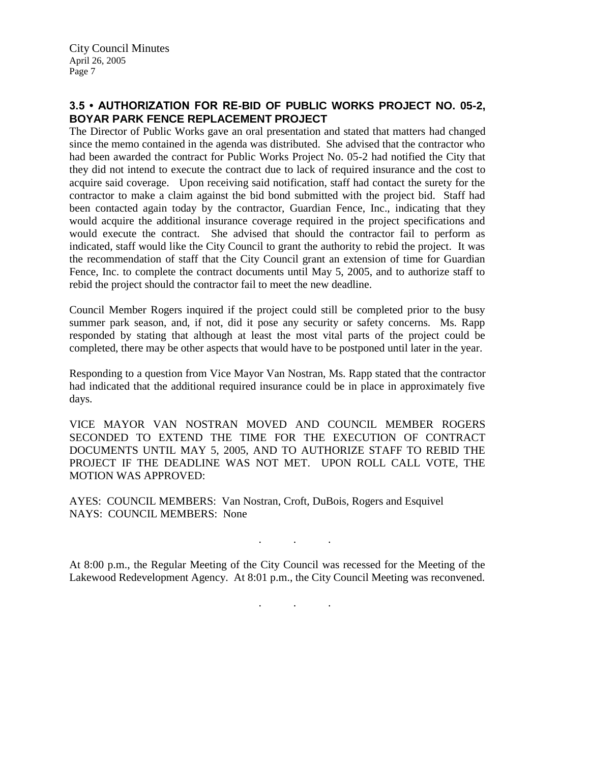# **3.5 • AUTHORIZATION FOR RE-BID OF PUBLIC WORKS PROJECT NO. 05-2, BOYAR PARK FENCE REPLACEMENT PROJECT**

The Director of Public Works gave an oral presentation and stated that matters had changed since the memo contained in the agenda was distributed. She advised that the contractor who had been awarded the contract for Public Works Project No. 05-2 had notified the City that they did not intend to execute the contract due to lack of required insurance and the cost to acquire said coverage. Upon receiving said notification, staff had contact the surety for the contractor to make a claim against the bid bond submitted with the project bid. Staff had been contacted again today by the contractor, Guardian Fence, Inc., indicating that they would acquire the additional insurance coverage required in the project specifications and would execute the contract. She advised that should the contractor fail to perform as indicated, staff would like the City Council to grant the authority to rebid the project. It was the recommendation of staff that the City Council grant an extension of time for Guardian Fence, Inc. to complete the contract documents until May 5, 2005, and to authorize staff to rebid the project should the contractor fail to meet the new deadline.

Council Member Rogers inquired if the project could still be completed prior to the busy summer park season, and, if not, did it pose any security or safety concerns. Ms. Rapp responded by stating that although at least the most vital parts of the project could be completed, there may be other aspects that would have to be postponed until later in the year.

Responding to a question from Vice Mayor Van Nostran, Ms. Rapp stated that the contractor had indicated that the additional required insurance could be in place in approximately five days.

VICE MAYOR VAN NOSTRAN MOVED AND COUNCIL MEMBER ROGERS SECONDED TO EXTEND THE TIME FOR THE EXECUTION OF CONTRACT DOCUMENTS UNTIL MAY 5, 2005, AND TO AUTHORIZE STAFF TO REBID THE PROJECT IF THE DEADLINE WAS NOT MET. UPON ROLL CALL VOTE, THE MOTION WAS APPROVED:

AYES: COUNCIL MEMBERS: Van Nostran, Croft, DuBois, Rogers and Esquivel NAYS: COUNCIL MEMBERS: None

At 8:00 p.m., the Regular Meeting of the City Council was recessed for the Meeting of the Lakewood Redevelopment Agency. At 8:01 p.m., the City Council Meeting was reconvened.

. . .

. . .